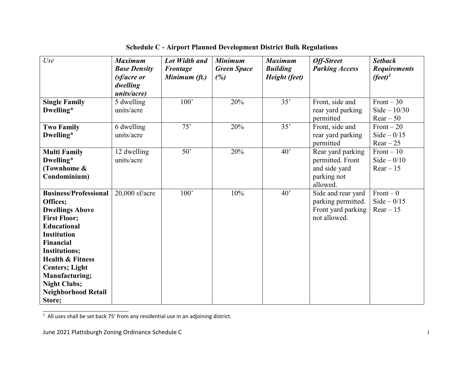| Use                                                 | <b>Maximum</b><br><b>Base Density</b> | Lot Width and<br><b>Frontage</b> | <b>Minimum</b><br><b>Green Space</b> | <b>Maximum</b><br><b>Building</b> | <b>Off-Street</b><br><b>Parking Access</b> | <b>Setback</b><br><b>Requirements</b> |
|-----------------------------------------------------|---------------------------------------|----------------------------------|--------------------------------------|-----------------------------------|--------------------------------------------|---------------------------------------|
|                                                     | (sf/acre or                           | Minimum (ft.)                    | (%)                                  | Height (feet)                     |                                            | $(\text{feet})^1$                     |
|                                                     | dwelling<br>units/acre)               |                                  |                                      |                                   |                                            |                                       |
| <b>Single Family</b>                                | 5 dwelling                            | 100'                             | 20%                                  | 35'                               | Front, side and                            | Front $-30$                           |
| Dwelling*                                           | units/acre                            |                                  |                                      |                                   | rear yard parking                          | $Side - 10/30$                        |
|                                                     |                                       |                                  |                                      |                                   | permitted                                  | $Rear - 50$                           |
| <b>Two Family</b>                                   | 6 dwelling                            | 75'                              | 20%                                  | 35'                               | Front, side and                            | Front $-20$                           |
| Dwelling*                                           | units/acre                            |                                  |                                      |                                   | rear yard parking                          | Side $-0/15$                          |
|                                                     |                                       |                                  |                                      |                                   | permitted                                  | $Rear - 25$                           |
| <b>Multi Family</b>                                 | 12 dwelling                           | 50'                              | 20%                                  | 40'                               | Rear yard parking                          | $Front - 10$                          |
| Dwelling*                                           | units/acre                            |                                  |                                      |                                   | permitted. Front                           | Side $-0/10$                          |
| (Townhome &                                         |                                       |                                  |                                      |                                   | and side yard                              | $Rear - 15$                           |
| Condominium)                                        |                                       |                                  |                                      |                                   | parking not                                |                                       |
|                                                     |                                       |                                  |                                      |                                   | allowed.                                   |                                       |
| <b>Business/Professional</b>                        | $20,000$ sf/acre                      | 100'                             | 10%                                  | $40^{\circ}$                      | Side and rear yard                         | $Front - 0$                           |
| Offices;                                            |                                       |                                  |                                      |                                   | parking permitted.                         | Side $-0/15$                          |
| <b>Dwellings Above</b>                              |                                       |                                  |                                      |                                   | Front yard parking                         | $Rear - 15$                           |
| <b>First Floor;</b>                                 |                                       |                                  |                                      |                                   | not allowed.                               |                                       |
| <b>Educational</b>                                  |                                       |                                  |                                      |                                   |                                            |                                       |
| <b>Institution</b>                                  |                                       |                                  |                                      |                                   |                                            |                                       |
| <b>Financial</b>                                    |                                       |                                  |                                      |                                   |                                            |                                       |
| <b>Institutions;</b><br><b>Health &amp; Fitness</b> |                                       |                                  |                                      |                                   |                                            |                                       |
| <b>Centers</b> ; Light                              |                                       |                                  |                                      |                                   |                                            |                                       |
| <b>Manufacturing;</b>                               |                                       |                                  |                                      |                                   |                                            |                                       |
| <b>Night Clubs;</b>                                 |                                       |                                  |                                      |                                   |                                            |                                       |
| <b>Neighborhood Retail</b>                          |                                       |                                  |                                      |                                   |                                            |                                       |
| Store;                                              |                                       |                                  |                                      |                                   |                                            |                                       |

**Schedule C - Airport Planned Development District Bulk Regulations**

 $\overline{1}$  All uses shall be set back 75' from any residential use in an adjoining district.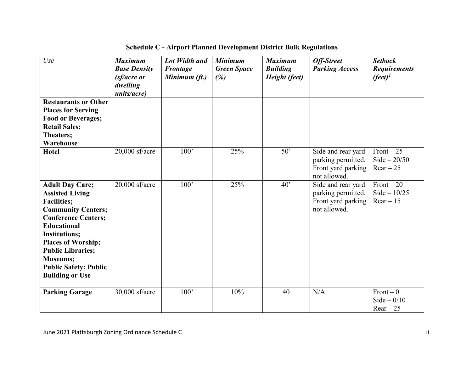| Use                                                                                                                                                                                                                                                                                                                   | <b>Maximum</b><br><b>Base Density</b><br>(sf/acre or<br>dwelling<br>units/acre) | <b>Lot Width and</b><br>Frontage<br>Minimum (ft.) | <b>Minimum</b><br><b>Green Space</b><br>(%) | <b>Maximum</b><br><b>Building</b><br>Height (feet) | <b>Off-Street</b><br><b>Parking Access</b>                                     | <b>Setback</b><br><b>Requirements</b><br>$(\text{feet})^1$ |
|-----------------------------------------------------------------------------------------------------------------------------------------------------------------------------------------------------------------------------------------------------------------------------------------------------------------------|---------------------------------------------------------------------------------|---------------------------------------------------|---------------------------------------------|----------------------------------------------------|--------------------------------------------------------------------------------|------------------------------------------------------------|
| <b>Restaurants or Other</b><br><b>Places for Serving</b><br><b>Food or Beverages;</b><br><b>Retail Sales;</b><br>Theaters;<br>Warehouse                                                                                                                                                                               |                                                                                 |                                                   |                                             |                                                    |                                                                                |                                                            |
| <b>Hotel</b>                                                                                                                                                                                                                                                                                                          | $20,000$ sf/acre                                                                | $\overline{100}$                                  | 25%                                         | 50'                                                | Side and rear yard<br>parking permitted.<br>Front yard parking<br>not allowed. | Front $-25$<br>$Side - 20/50$<br>$Rear - 25$               |
| <b>Adult Day Care;</b><br><b>Assisted Living</b><br><b>Facilities;</b><br><b>Community Centers;</b><br><b>Conference Centers;</b><br><b>Educational</b><br><b>Institutions;</b><br><b>Places of Worship;</b><br><b>Public Libraries;</b><br><b>Museums;</b><br><b>Public Safety; Public</b><br><b>Building or Use</b> | $20,000$ sf/acre                                                                | $100^{\circ}$                                     | 25%                                         | 40 <sup>o</sup>                                    | Side and rear yard<br>parking permitted.<br>Front yard parking<br>not allowed. | Front $-20$<br>$Side - 10/25$<br>$Rear - 15$               |
| <b>Parking Garage</b>                                                                                                                                                                                                                                                                                                 | $30,000$ sf/acre                                                                | 100'                                              | 10%                                         | 40                                                 | N/A                                                                            | $Front - 0$<br>Side $-0/10$<br>$Rear - 25$                 |

**Schedule C - Airport Planned Development District Bulk Regulations**